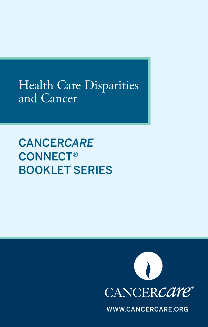Health Care Disparities and Cancer

CANCER*CARE* CONNECT® BOOKLET SERIES



WWW.CANCERCARE.ORG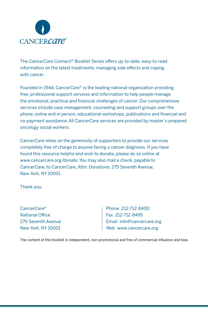

The Cancer*Care* Connect® Booklet Series offers up-to-date, easy-to-read information on the latest treatments, managing side effects and coping with cancer.

Founded in 1944, Cancer*Care*® is the leading national organization providing free, professional support services and information to help people manage the emotional, practical and financial challenges of cancer. Our comprehensive services include case management, counseling and support groups over the phone, online and in person, educational workshops, publications and financial and co-payment assistance. All Cancer*Care* services are provided by master's-prepared oncology social workers.

Cancer*Care* relies on the generosity of supporters to provide our services completely free of charge to anyone facing a cancer diagnosis. If you have found this resource helpful and wish to donate, please do so online at www.cancercare.org/donate. You may also mail a check, payable to Cancer*Care*, to Cancer*Care*, Attn: Donations, 275 Seventh Avenue, New York, NY 10001.

Thank you.

Cancer*Care*® National Office 275 Seventh Avenue New York, NY 10001

Phone 212-712-8400 Fax 212-712-8495 Email info@cancercare.org Web www.cancercare.org

The content of this booklet is independent, non-promotional and free of commercial influence and bias.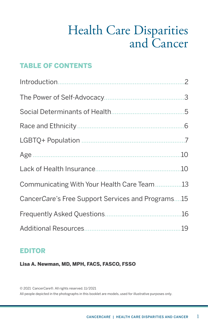## Health Care Disparities and Cancer

### TABLE OF CONTENTS

| Communicating With Your Health Care Team13        |  |
|---------------------------------------------------|--|
| CancerCare's Free Support Services and Programs15 |  |
|                                                   |  |
|                                                   |  |

### EDITOR

Lisa A. Newman, MD, MPH, FACS, FASCO, FSSO

© 2021 Cancer*Care*®. All rights reserved. 11/2021 All people depicted in the photographs in this booklet are models, used for illustrative purposes only.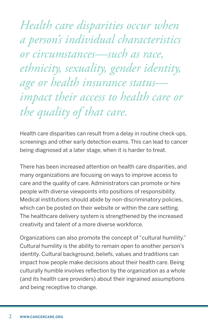<span id="page-3-0"></span>*Health care disparities occur when a person's individual characteristics or circumstances—such as race, ethnicity, sexuality, gender identity, age or health insurance status impact their access to health care or the quality of that care.*

Health care disparities can result from a delay in routine check-ups, screenings and other early detection exams. This can lead to cancer being diagnosed at a later stage, when it is harder to treat.

There has been increased attention on health care disparities, and many organizations are focusing on ways to improve access to care and the quality of care. Administrators can promote or hire people with diverse viewpoints into positions of responsibility. Medical institutions should abide by non-discriminatory policies, which can be posted on their website or within the care setting. The healthcare delivery system is strengthened by the increased creativity and talent of a more diverse workforce.

Organizations can also promote the concept of "cultural humility." Cultural humility is the ability to remain open to another person's identity. Cultural background, beliefs, values and traditions can impact how people make decisions about their health care. Being culturally humble involves reflection by the organization as a whole (and its health care providers) about their ingrained assumptions and being receptive to change.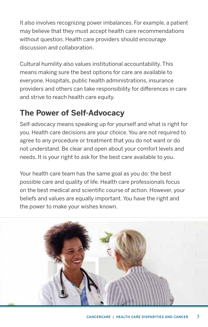<span id="page-4-0"></span>It also involves recognizing power imbalances. For example, a patient may believe that they must accept health care recommendations without question. Health care providers should encourage discussion and collaboration.

Cultural humility also values institutional accountability. This means making sure the best options for care are available to everyone. Hospitals, public health administrations, insurance providers and others can take responsibility for differences in care and strive to reach health care equity.

## **The Power of Self-Advocacy**

Self-advocacy means speaking up for yourself and what is right for you. Health care decisions are your choice. You are not required to agree to any procedure or treatment that you do not want or do not understand. Be clear and open about your comfort levels and needs. It is your right to ask for the best care available to you.

Your health care team has the same goal as you do: the best possible care and quality of life. Health care professionals focus on the best medical and scientific course of action. However, your beliefs and values are equally important. You have the right and the power to make your wishes known.

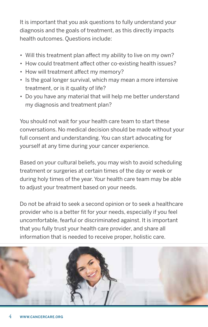It is important that you ask questions to fully understand your diagnosis and the goals of treatment, as this directly impacts health outcomes. Questions include:

- Will this treatment plan affect my ability to live on my own?
- How could treatment affect other co-existing health issues?
- How will treatment affect my memory?
- Is the goal longer survival, which may mean a more intensive treatment, or is it quality of life?
- Do you have any material that will help me better understand my diagnosis and treatment plan?

You should not wait for your health care team to start these conversations. No medical decision should be made without your full consent and understanding. You can start advocating for yourself at any time during your cancer experience.

Based on your cultural beliefs, you may wish to avoid scheduling treatment or surgeries at certain times of the day or week or during holy times of the year. Your health care team may be able to adjust your treatment based on your needs.

Do not be afraid to seek a second opinion or to seek a healthcare provider who is a better fit for your needs, especially if you feel uncomfortable, fearful or discriminated against. It is important that you fully trust your health care provider, and share all information that is needed to receive proper, holistic care.

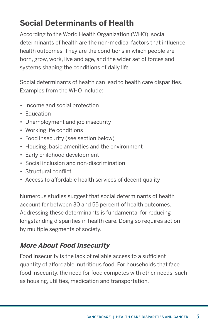## <span id="page-6-0"></span>**Social Determinants of Health**

According to the World Health Organization (WHO), social determinants of health are the non-medical factors that influence health outcomes. They are the conditions in which people are born, grow, work, live and age, and the wider set of forces and systems shaping the conditions of daily life.

Social determinants of health can lead to health care disparities. Examples from the WHO include:

- Income and social protection
- Education
- Unemployment and job insecurity
- Working life conditions
- Food insecurity (see section below)
- Housing, basic amenities and the environment
- Early childhood development
- Social inclusion and non-discrimination
- Structural conflict
- Access to affordable health services of decent quality

Numerous studies suggest that social determinants of health account for between 30 and 55 percent of health outcomes. Addressing these determinants is fundamental for reducing longstanding disparities in health care. Doing so requires action by multiple segments of society.

### **More About Food Insecurity**

Food insecurity is the lack of reliable access to a sufficient quantity of affordable, nutritious food. For households that face food insecurity, the need for food competes with other needs, such as housing, utilities, medication and transportation.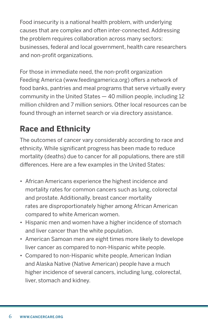<span id="page-7-0"></span>Food insecurity is a national health problem, with underlying causes that are complex and often inter-connected. Addressing the problem requires collaboration across many sectors: businesses, federal and local government, health care researchers and non-profit organizations.

For those in immediate need, the non-profit organization Feeding America (www.feedingamerica.org) offers a network of food banks, pantries and meal programs that serve virtually every community in the United States — 40 million people, including 12 million children and 7 million seniors. Other local resources can be found through an internet search or via directory assistance.

## **Race and Ethnicity**

The outcomes of cancer vary considerably according to race and ethnicity. While significant progress has been made to reduce mortality (deaths) due to cancer for all populations, there are still differences. Here are a few examples in the United States:

- African Americans experience the highest incidence and mortality rates for common cancers such as lung, colorectal and prostate. Additionally, breast cancer mortality rates are disproportionately higher among African American compared to white American women.
- Hispanic men and women have a higher incidence of stomach and liver cancer than the white population.
- American Samoan men are eight times more likely to develope liver cancer as compared to non-Hispanic white people.
- Compared to non-Hispanic white people, American Indian and Alaska Native (Native American) people have a much higher incidence of several cancers, including lung, colorectal, liver, stomach and kidney.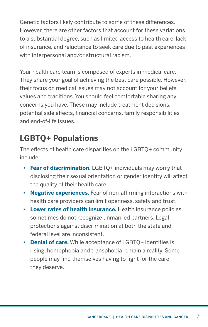<span id="page-8-0"></span>Genetic factors likely contribute to some of these differences. However, there are other factors that account for these variations to a substantial degree, such as limited access to health care, lack of insurance, and reluctance to seek care due to past experiences with interpersonal and/or structural racism.

Your health care team is composed of experts in medical care. They share your goal of achieving the best care possible. However, their focus on medical issues may not account for your beliefs, values and traditions. You should feel comfortable sharing any concerns you have. These may include treatment decisions, potential side effects, financial concerns, family responsibilities and end-of-life issues.

## **LGBTQ+ Populations**

The effects of health care disparities on the LGBTQ+ community include:

- **Fear of discrimination.** LGBTQ+ individuals may worry that disclosing their sexual orientation or gender identity will affect the quality of their health care.
- **• Negative experiences.** Fear of non-affirming interactions with health care providers can limit openness, safety and trust.
- **• Lower rates of health insurance.** Health insurance policies sometimes do not recognize unmarried partners. Legal protections against discrimination at both the state and federal level are inconsistent.
- **• Denial of care.** While acceptance of LGBTQ+ identities is rising, homophobia and transphobia remain a reality. Some people may find themselves having to fight for the care they deserve.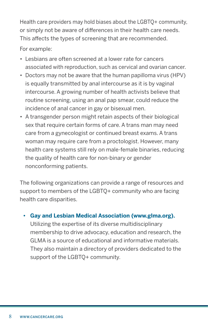Health care providers may hold biases about the LGBTQ+ community, or simply not be aware of differences in their health care needs. This affects the types of screening that are recommended.

For example:

- Lesbians are often screened at a lower rate for cancers associated with reproduction, such as cervical and ovarian cancer.
- Doctors may not be aware that the human papilloma virus (HPV) is equally transmitted by anal intercourse as it is by vaginal intercourse. A growing number of health activists believe that routine screening, using an anal pap smear, could reduce the incidence of anal cancer in gay or bisexual men.
- A transgender person might retain aspects of their biological sex that require certain forms of care. A trans man may need care from a gynecologist or continued breast exams. A trans woman may require care from a proctologist. However, many health care systems still rely on male-female binaries, reducing the quality of health care for non-binary or gender nonconforming patients.

The following organizations can provide a range of resources and support to members of the LGBTQ+ community who are facing health care disparities.

### **• Gay and Lesbian Medical Association (www.glma.org).**

Utilizing the expertise of its diverse multidisciplinary membership to drive advocacy, education and research, the GLMA is a source of educational and informative materials. They also maintain a directory of providers dedicated to the support of the LGBTQ+ community.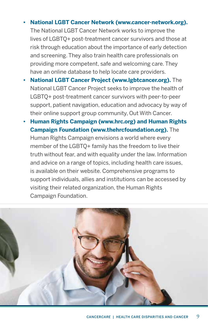#### **• National LGBT Cancer Network (www.cancer-network.org).**

The National LGBT Cancer Network works to improve the lives of LGBTQ+ post-treatment cancer survivors and those at risk through education about the importance of early detection and screening. They also train health care professionals on providing more competent, safe and welcoming care. They have an online database to help locate care providers.

- **• National LGBT Cancer Project (www.lgbtcancer.org).** The National LGBT Cancer Project seeks to improve the health of LGBTQ+ post-treatment cancer survivors with peer-to-peer support, patient navigation, education and advocacy by way of their online support group community, Out With Cancer.
- **• Human Rights Campaign (www.hrc.org) and Human Rights Campaign Foundation (www.thehrcfoundation.org).** The Human Rights Campaign envisions a world where every member of the LGBTQ+ family has the freedom to live their truth without fear, and with equality under the law. Information and advice on a range of topics, including health care issues, is available on their website. Comprehensive programs to support individuals, allies and institutions can be accessed by visiting their related organization, the Human Rights Campaign Foundation.

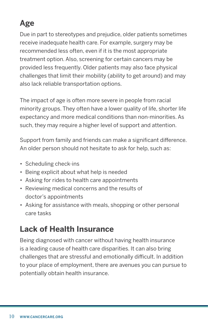## <span id="page-11-0"></span>**Age**

Due in part to stereotypes and prejudice, older patients sometimes receive inadequate health care. For example, surgery may be recommended less often, even if it is the most appropriate treatment option. Also, screening for certain cancers may be provided less frequently. Older patients may also face physical challenges that limit their mobility (ability to get around) and may also lack reliable transportation options.

The impact of age is often more severe in people from racial minority groups. They often have a lower quality of life, shorter life expectancy and more medical conditions than non-minorities. As such, they may require a higher level of support and attention.

Support from family and friends can make a significant difference. An older person should not hesitate to ask for help, such as:

- Scheduling check-ins
- Being explicit about what help is needed
- Asking for rides to health care appointments
- Reviewing medical concerns and the results of doctor's appointments
- Asking for assistance with meals, shopping or other personal care tasks

## **Lack of Health Insurance**

Being diagnosed with cancer without having health insurance is a leading cause of health care disparities. It can also bring challenges that are stressful and emotionally difficult. In addition to your place of employment, there are avenues you can pursue to potentially obtain health insurance.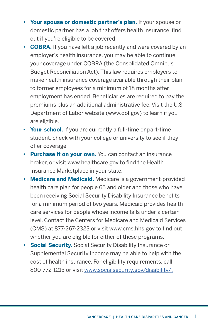- **• Your spouse or domestic partner's plan.** If your spouse or domestic partner has a job that offers health insurance, find out if you're eligible to be covered.
- **• COBRA.** If you have left a job recently and were covered by an employer's health insurance, you may be able to continue your coverage under COBRA (the Consolidated Omnibus Budget Reconciliation Act). This law requires employers to make health insurance coverage available through their plan to former employees for a minimum of 18 months after employment has ended. Beneficiaries are required to pay the premiums plus an additional administrative fee. Visit the U.S. Department of Labor website (www.dol.gov) to learn if you are eligible.
- **• Your school.** If you are currently a full-time or part-time student, check with your college or university to see if they offer coverage.
- **• Purchase it on your own.** You can contact an insurance broker, or visit www.healthcare.gov to find the Health Insurance Marketplace in your state.
- **• Medicare and Medicaid.** Medicare is a government-provided health care plan for people 65 and older and those who have been receiving Social Security Disability Insurance benefits for a minimum period of two years. Medicaid provides health care services for people whose income falls under a certain level. Contact the Centers for Medicare and Medicaid Services (CMS) at 877-267-2323 or visit www.cms.hhs.gov to find out whether you are eligible for either of these programs.
- **• Social Security.** Social Security Disability Insurance or Supplemental Security Income may be able to help with the cost of health insurance. For eligibility requirements, call 800-772-1213 or visit www.socialsecurity.gov/disability/.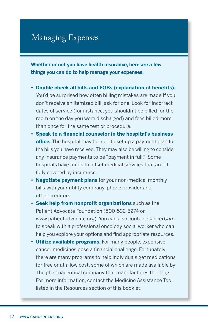### Managing Expenses

**Whether or not you have health insurance, here are a few things you can do to help manage your expenses.** 

- **• Double check all bills and EOBs (explanation of benefits).**  You'd be surprised how often billing mistakes are made.If you don't receive an itemized bill, ask for one. Look for incorrect dates of service (for instance, you shouldn't be billed for the room on the day you were discharged) and fees billed more than once for the same test or procedure.
- **• Speak to a financial counselor in the hospital's business office.** The hospital may be able to set up a payment plan for the bills you have received. They may also be willing to consider any insurance payments to be "payment in full." Some hospitals have funds to offset medical services that aren't fully covered by insurance.
- **• Negotiate payment plans** for your non-medical monthly bills with your utility company, phone provider and other creditors.
- **• Seek help from nonprofit organizations** such as the Patient Advocate Foundation (800-532-5274 or www.patientadvocate.org). You can also contact Cancer*Care*  to speak with a professional oncology social worker who can help you explore your options and find appropriate resources.
- **• Utilize available programs.** For many people, expensive cancer medicines pose a financial challenge. Fortunately, there are many programs to help individuals get medications for free or at a low cost, some of which are made available by the pharmaceutical company that manufactures the drug. For more information, contact the Medicine Assistance Tool, listed in the Resources section of this booklet.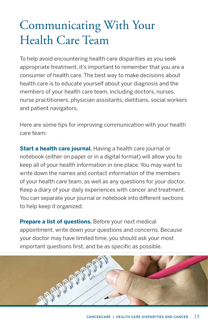# <span id="page-14-0"></span>Communicating With Your Health Care Team

To help avoid encountering health care disparities as you seek appropriate treatment, it's important to remember that you are a consumer of health care. The best way to make decisions about health care is to educate yourself about your diagnosis and the members of your health care team, including doctors, nurses, nurse practitioners, physician assistants, dietitians, social workers and patient navigators.

Here are some tips for improving communication with your health care team:

**Start a health care journal.** Having a health care journal or notebook (either on paper or in a digital format) will allow you to keep all of your health information in one place. You may want to write down the names and contact information of the members of your health care team, as well as any questions for your doctor. Keep a diary of your daily experiences with cancer and treatment. You can separate your journal or notebook into different sections to help keep it organized.

**Prepare a list of questions.** Before your next medical appointment, write down your questions and concerns. Because your doctor may have limited time, you should ask your most important questions first, and be as specific as possible.

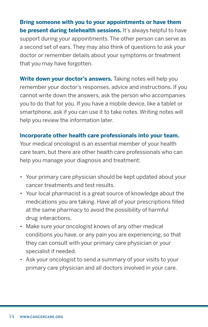**Bring someone with you to your appointments or have them be present during telehealth sessions.** It's always helpful to have support during your appointments. The other person can serve as a second set of ears. They may also think of questions to ask your doctor or remember details about your symptoms or treatment that you may have forgotten.

**Write down your doctor's answers.** Taking notes will help you remember your doctor's responses, advice and instructions. If you cannot write down the answers, ask the person who accompanies you to do that for you. If you have a mobile device, like a tablet or smartphone, ask if you can use it to take notes. Writing notes will help you review the information later.

#### **Incorporate other health care professionals into your team.**

Your medical oncologist is an essential member of your health care team, but there are other health care professionals who can help you manage your diagnosis and treatment:

- Your primary care physician should be kept updated about your cancer treatments and test results.
- Your local pharmacist is a great source of knowledge about the medications you are taking. Have all of your prescriptions filled at the same pharmacy to avoid the possibility of harmful drug interactions.
- Make sure your oncologist knows of any other medical conditions you have, or any pain you are experiencing, so that they can consult with your primary care physician or your specialist if needed.
- Ask your oncologist to send a summary of your visits to your primary care physician and all doctors involved in your care.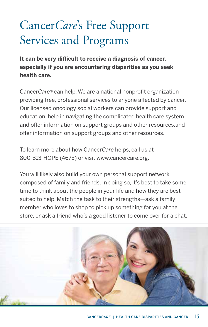# <span id="page-16-0"></span>Cancer*Care*'s Free Support Services and Programs

**It can be very difficult to receive a diagnosis of cancer, especially if you are encountering disparities as you seek health care.** 

Cancer*Care®* can help. We are a national nonprofit organization providing free, professional services to anyone affected by cancer. Our licensed oncology social workers can provide support and education, help in navigating the complicated health care system and offer information on support groups and other resources.and offer information on support groups and other resources.

To learn more about how Cancer*Care* helps, call us at 800-813-HOPE (4673) or visit www.cancercare.org.

You will likely also build your own personal support network composed of family and friends. In doing so, it's best to take some time to think about the people in your life and how they are best suited to help. Match the task to their strengths—ask a family member who loves to shop to pick up something for you at the store, or ask a friend who's a good listener to come over for a chat.

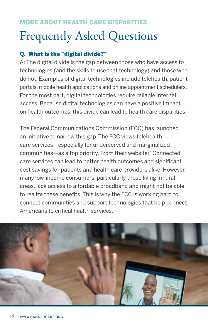## <span id="page-17-0"></span>MORE ABOUT HEALTH CARE DISPARITIES Frequently Asked Questions

### Q. What is the "digital divide?"

A: The digital divide is the gap between those who have access to technologies (and the skills to use that technology) and those who do not. Examples of digital technologies include telehealth, patient portals, mobile health applications and online appointment schedulers. For the most part, digital technologies require reliable internet access. Because digital technologies can have a positive impact on health outcomes, this divide can lead to health care disparities.

The Federal Communications Commission (FCC) has launched an initiative to narrow this gap. The FCC views telehealth care services—especially for underserved and marginalized communities—as a top priority. From their website: "Connected care services can lead to better health outcomes and significant cost savings for patients and health care providers alike. However, many low-income consumers, particularly those living in rural areas, lack access to affordable broadband and might not be able to realize these benefits. This is why the FCC is working hard to connect communities and support technologies that help connect Americans to critical health services."

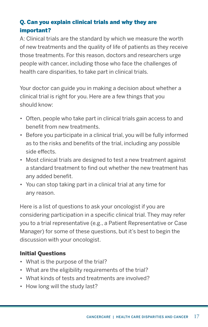### Q. Can you explain clinical trials and why they are important?

A: Clinical trials are the standard by which we measure the worth of new treatments and the quality of life of patients as they receive those treatments. For this reason, doctors and researchers urge people with cancer, including those who face the challenges of health care disparities, to take part in clinical trials.

Your doctor can guide you in making a decision about whether a clinical trial is right for you. Here are a few things that you should know:

- Often, people who take part in clinical trials gain access to and benefit from new treatments.
- Before you participate in a clinical trial, you will be fully informed as to the risks and benefits of the trial, including any possible side effects.
- Most clinical trials are designed to test a new treatment against a standard treatment to find out whether the new treatment has any added benefit.
- You can stop taking part in a clinical trial at any time for any reason.

Here is a list of questions to ask your oncologist if you are considering participation in a specific clinical trial. They may refer you to a trial representative (e.g., a Patient Representative or Case Manager) for some of these questions, but it's best to begin the discussion with your oncologist.

### Initial Questions

- What is the purpose of the trial?
- What are the eligibility requirements of the trial?
- What kinds of tests and treatments are involved?
- How long will the study last?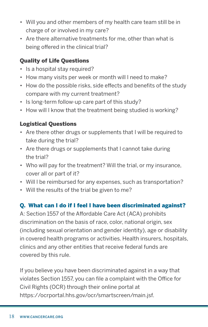- Will you and other members of my health care team still be in charge of or involved in my care?
- Are there alternative treatments for me, other than what is being offered in the clinical trial?

### Quality of Life Questions

- Is a hospital stay required?
- How many visits per week or month will I need to make?
- How do the possible risks, side effects and benefits of the study compare with my current treatment?
- Is long-term follow-up care part of this study?
- How will I know that the treatment being studied is working?

### Logistical Questions

- Are there other drugs or supplements that I will be required to take during the trial?
- Are there drugs or supplements that I cannot take during the trial?
- Who will pay for the treatment? Will the trial, or my insurance, cover all or part of it?
- Will I be reimbursed for any expenses, such as transportation?
- Will the results of the trial be given to me?

### Q. What can I do if I feel I have been discriminated against?

A: Section 1557 of the Affordable Care Act (ACA) prohibits discrimination on the basis of race, color, national origin, sex (including sexual orientation and gender identity), age or disability in covered health programs or activities. Health insurers, hospitals, clinics and any other entities that receive federal funds are covered by this rule.

If you believe you have been discriminated against in a way that violates Section 1557, you can file a complaint with the Office for Civil Rights (OCR) through their online portal at https://ocrportal.hhs.gov/ocr/smartscreen/main.jsf.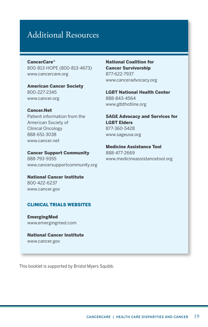### <span id="page-20-0"></span>Additional Resources

Cancer*Care*® 800-813-HOPE (800-813-4673) www.cancercare.org

American Cancer Society 800-227-2345 www.cancer.org

Cancer.Net Patient information from the American Society of Clinical Oncology 888-651-3038 www.cancer.net

Cancer Support Community 888-793-9355 www.cancersupportcommunity.org

National Cancer Institute 800-422-6237 www.cancer.gov

#### CLINICAL TRIALS WEBSITES

EmergingMed [www.emergingmed.com](https://app.emergingmed.com/emed/home)

National Cancer Institute www.cancer.gov

National Coalition for Cancer Survivorship 877-622-7937 www.canceradvocacy.org

LGBT National Health Center 888-843-4564 www.glbthotline.org

SAGE Advocacy and Services for LGBT Elders 877-360-5428 www.sageusa.org

Medicine Assistance Tool 888-477-2669 www.medicineassistancetool.org

This booklet is supported by Bristol Myers Squibb.